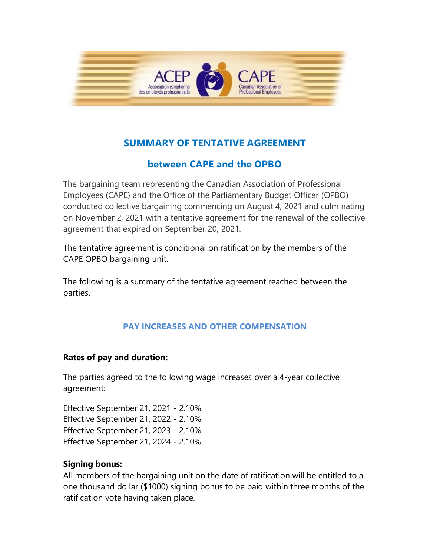

# **SUMMARY OF TENTATIVE AGREEMENT**

## **between CAPE and the OPBO**

The bargaining team representing the Canadian Association of Professional Employees (CAPE) and the Office of the Parliamentary Budget Officer (OPBO) conducted collective bargaining commencing on August 4, 2021 and culminating on November 2, 2021 with a tentative agreement for the renewal of the collective agreement that expired on September 20, 2021.

The tentative agreement is conditional on ratification by the members of the CAPE OPBO bargaining unit.

The following is a summary of the tentative agreement reached between the parties.

### **PAY INCREASES AND OTHER COMPENSATION**

### **Rates of pay and duration:**

The parties agreed to the following wage increases over a 4-year collective agreement:

Effective September 21, 2021 - 2.10% Effective September 21, 2022 - 2.10% Effective September 21, 2023 - 2.10% Effective September 21, 2024 - 2.10%

### **Signing bonus:**

All members of the bargaining unit on the date of ratification will be entitled to a one thousand dollar (\$1000) signing bonus to be paid within three months of the ratification vote having taken place.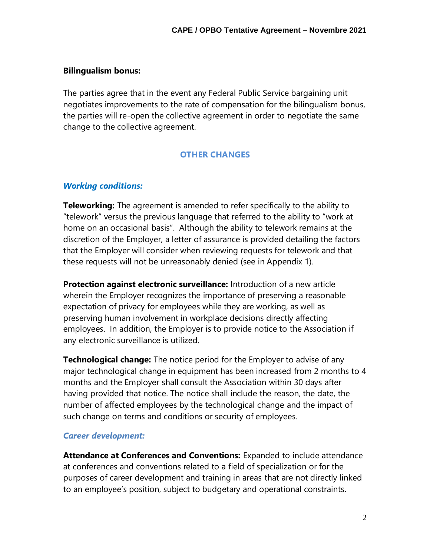#### **Bilingualism bonus:**

The parties agree that in the event any Federal Public Service bargaining unit negotiates improvements to the rate of compensation for the bilingualism bonus, the parties will re-open the collective agreement in order to negotiate the same change to the collective agreement.

### **OTHER CHANGES**

#### *Working conditions:*

**Teleworking:** The agreement is amended to refer specifically to the ability to "telework" versus the previous language that referred to the ability to "work at home on an occasional basis". Although the ability to telework remains at the discretion of the Employer, a letter of assurance is provided detailing the factors that the Employer will consider when reviewing requests for telework and that these requests will not be unreasonably denied (see in Appendix 1).

**Protection against electronic surveillance:** Introduction of a new article wherein the Employer recognizes the importance of preserving a reasonable expectation of privacy for employees while they are working, as well as preserving human involvement in workplace decisions directly affecting employees. In addition, the Employer is to provide notice to the Association if any electronic surveillance is utilized.

**Technological change:** The notice period for the Employer to advise of any major technological change in equipment has been increased from 2 months to 4 months and the Employer shall consult the Association within 30 days after having provided that notice. The notice shall include the reason, the date, the number of affected employees by the technological change and the impact of such change on terms and conditions or security of employees.

#### *Career development:*

**Attendance at Conferences and Conventions:** Expanded to include attendance at conferences and conventions related to a field of specialization or for the purposes of career development and training in areas that are not directly linked to an employee's position, subject to budgetary and operational constraints.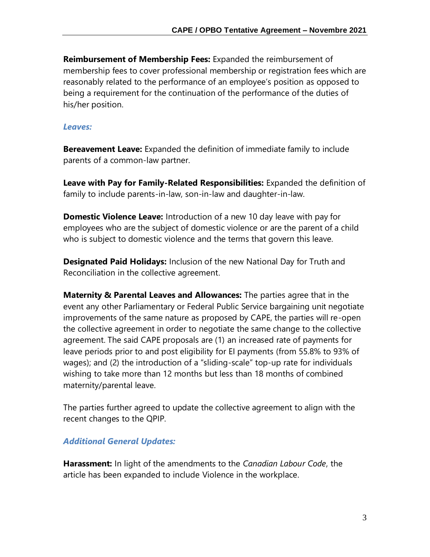**Reimbursement of Membership Fees:** Expanded the reimbursement of membership fees to cover professional membership or registration fees which are reasonably related to the performance of an employee's position as opposed to being a requirement for the continuation of the performance of the duties of his/her position.

#### *Leaves:*

**Bereavement Leave:** Expanded the definition of immediate family to include parents of a common-law partner.

**Leave with Pay for Family-Related Responsibilities:** Expanded the definition of family to include parents-in-law, son-in-law and daughter-in-law.

**Domestic Violence Leave:** Introduction of a new 10 day leave with pay for employees who are the subject of domestic violence or are the parent of a child who is subject to domestic violence and the terms that govern this leave.

**Designated Paid Holidays:** Inclusion of the new National Day for Truth and Reconciliation in the collective agreement.

**Maternity & Parental Leaves and Allowances:** The parties agree that in the event any other Parliamentary or Federal Public Service bargaining unit negotiate improvements of the same nature as proposed by CAPE, the parties will re-open the collective agreement in order to negotiate the same change to the collective agreement. The said CAPE proposals are (1) an increased rate of payments for leave periods prior to and post eligibility for EI payments (from 55.8% to 93% of wages); and (2) the introduction of a "sliding-scale" top-up rate for individuals wishing to take more than 12 months but less than 18 months of combined maternity/parental leave.

The parties further agreed to update the collective agreement to align with the recent changes to the QPIP.

### *Additional General Updates:*

**Harassment:** In light of the amendments to the *Canadian Labour Code*, the article has been expanded to include Violence in the workplace.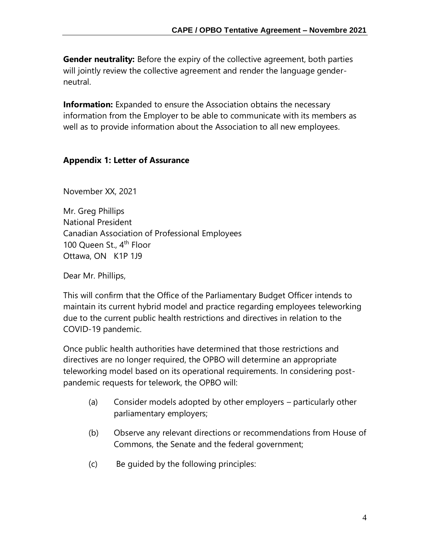**Gender neutrality:** Before the expiry of the collective agreement, both parties will jointly review the collective agreement and render the language genderneutral.

**Information:** Expanded to ensure the Association obtains the necessary information from the Employer to be able to communicate with its members as well as to provide information about the Association to all new employees.

### **Appendix 1: Letter of Assurance**

November XX, 2021

Mr. Greg Phillips National President Canadian Association of Professional Employees 100 Queen St., 4<sup>th</sup> Floor Ottawa, ON K1P 1J9

Dear Mr. Phillips,

This will confirm that the Office of the Parliamentary Budget Officer intends to maintain its current hybrid model and practice regarding employees teleworking due to the current public health restrictions and directives in relation to the COVID-19 pandemic.

Once public health authorities have determined that those restrictions and directives are no longer required, the OPBO will determine an appropriate teleworking model based on its operational requirements. In considering postpandemic requests for telework, the OPBO will:

- (a) Consider models adopted by other employers particularly other parliamentary employers;
- (b) Observe any relevant directions or recommendations from House of Commons, the Senate and the federal government;
- (c) Be guided by the following principles: